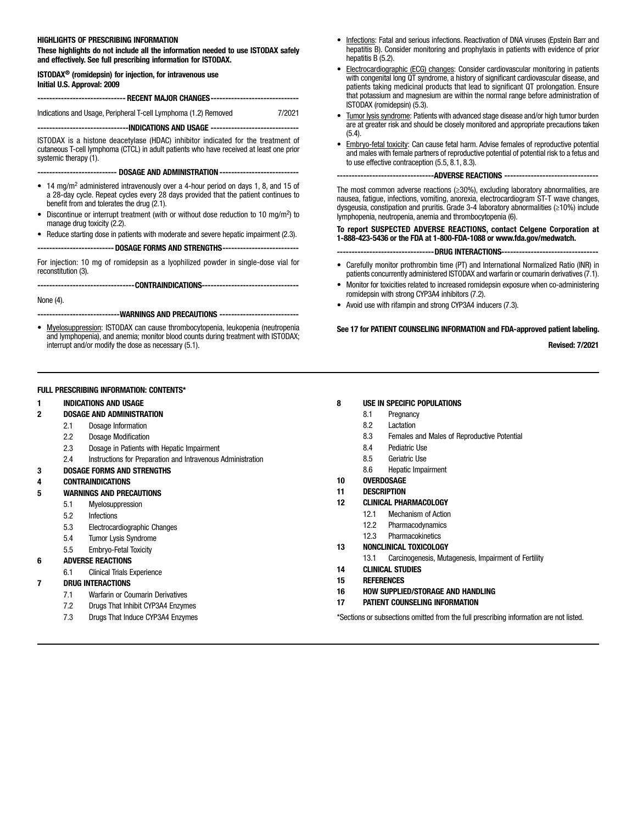#### HIGHLIGHTS OF PRESCRIBING INFORMATION

These highlights do not include all the information needed to use ISTODAX safely and effectively. See full prescribing information for ISTODAX.

ISTODAX® (romidepsin) for injection, for intravenous use Initial U.S. Approval: 2009

| ----------------------------- RECENT MAJOR CHANGES------------------------------ |        |  |  |
|----------------------------------------------------------------------------------|--------|--|--|
| Indications and Usage, Peripheral T-cell Lymphoma (1.2) Removed                  | 7/2021 |  |  |

-------------------------------INDICATIONS AND USAGE ------------------------------

ISTODAX is a histone deacetylase (HDAC) inhibitor indicated for the treatment of cutaneous T-cell lymphoma (CTCL) in adult patients who have received at least one prior systemic therapy (1).

------ DOSAGE AND ADMINISTRATION -----

- $\bullet$  14 mg/m<sup>2</sup> administered intravenously over a 4-hour period on days 1, 8, and 15 of a 28-day cycle. Repeat cycles every 28 days provided that the patient continues to benefit from and tolerates the drug (2.1).
- Discontinue or interrupt treatment (with or without dose reduction to 10 mg/m<sup>2</sup>) to manage drug toxicity (2.2).
- Reduce starting dose in patients with moderate and severe hepatic impairment (2.3).

--------------------------DOSAGE FORMS AND STRENGTHS--------------------------

For injection: 10 mg of romidepsin as a lyophilized powder in single-dose vial for reconstitution (3).

----------------------CONTRAINDICATIONS----------------------------------

None (4).

----------------------WARNINGS AND PRECAUTIONS ---------------------------

• Myelosuppression: ISTODAX can cause thrombocytopenia, leukopenia (neutropenia and lymphopenia), and anemia; monitor blood counts during treatment with ISTODAX; interrupt and/or modify the dose as necessary (5.1).

## FULL PRESCRIBING INFORMATION: CONTENTS\*

#### 1 INDICATIONS AND USAGE

- 2 DOSAGE AND ADMINISTRATION
	- 2.1 Dosage Information
	- 2.2 Dosage Modification
	- 2.3 Dosage in Patients with Hepatic Impairment
	- 2.4 Instructions for Preparation and Intravenous Administration

#### 3 DOSAGE FORMS AND STRENGTHS

- 4 CONTRAINDICATIONS
- 5 WARNINGS AND PRECAUTIONS
	- 5.1 Myelosuppression
		- 5.2 Infections
		- 5.3 Electrocardiographic Changes
		- 5.4 Tumor Lysis Syndrome
	- 5.5 Embryo-Fetal Toxicity
- 6 ADVERSE REACTIONS
	- 6.1 Clinical Trials Experience
- 7 DRUG INTERACTIONS
	- 7.1 Warfarin or Coumarin Derivatives
	- 7.2 Drugs That Inhibit CYP3A4 Enzymes
	- 7.3 Drugs That Induce CYP3A4 Enzymes
- Infections: Fatal and serious infections. Reactivation of DNA viruses (Epstein Barr and hepatitis B). Consider monitoring and prophylaxis in patients with evidence of prior hepatitis B (5.2).
- Electrocardiographic (ECG) changes: Consider cardiovascular monitoring in patients with congenital long QT syndrome, a history of significant cardiovascular disease, and patients taking medicinal products that lead to significant QT prolongation. Ensure that potassium and magnesium are within the normal range before administration of ISTODAX (romidepsin) (5.3).
- Tumor lysis syndrome: Patients with advanced stage disease and/or high tumor burden are at greater risk and should be closely monitored and appropriate precautions taken (5.4).
- Embryo-fetal toxicity: Can cause fetal harm. Advise females of reproductive potential and males with female partners of reproductive potential of potential risk to a fetus and to use effective contraception (5.5, 8.1, 8.3).

---------------------------------ADVERSE REACTIONS --------------------------------

The most common adverse reactions (≥30%), excluding laboratory abnormalities, are nausea, fatigue, infections, vomiting, anorexia, electrocardiogram ST-T wave changes, dysgeusia, constipation and pruritis. Grade 3-4 laboratory abnormalities (≥10%) include lymphopenia, neutropenia, anemia and thrombocytopenia (6).

## To report SUSPECTED ADVERSE REACTIONS, contact Celgene Corporation at 1-888-423-5436 or the FDA at 1-800-FDA-1088 or www.fda.gov/medwatch.

- -- DRUG INTERACTIONS-
- Carefully monitor prothrombin time (PT) and International Normalized Ratio (INR) in patients concurrently administered ISTODAX and warfarin or coumarin derivatives (7.1).
- Monitor for toxicities related to increased romidepsin exposure when co-administering romidepsin with strong CYP3A4 inhibitors (7.2).
- Avoid use with rifampin and strong CYP3A4 inducers (7.3).

See 17 for PATIENT COUNSELING INFORMATION and FDA-approved patient labeling.

Revised: 7/2021

- 8 USE IN SPECIFIC POPULATIONS
	- 8.1 Pregnancy
	- 8.2 Lactation
	- 8.3 Females and Males of Reproductive Potential
	- 8.4 Pediatric Use
	- 8.5 Geriatric Use
	- 8.6 Hepatic Impairment
- 10 OVERDOSAGE
- 11 DESCRIPTION
- 12 CLINICAL PHARMACOLOGY
	- 12.1 Mechanism of Action
	- 12.2 Pharmacodynamics
	- 12.3 Pharmacokinetics
- 13 NONCLINICAL TOXICOLOGY
	- 13.1 Carcinogenesis, Mutagenesis, Impairment of Fertility
- 14 CLINICAL STUDIES
- 15 REFERENCES
- 16 HOW SUPPLIED/STORAGE AND HANDLING
- 17 PATIENT COUNSELING INFORMATION

\*Sections or subsections omitted from the full prescribing information are not listed.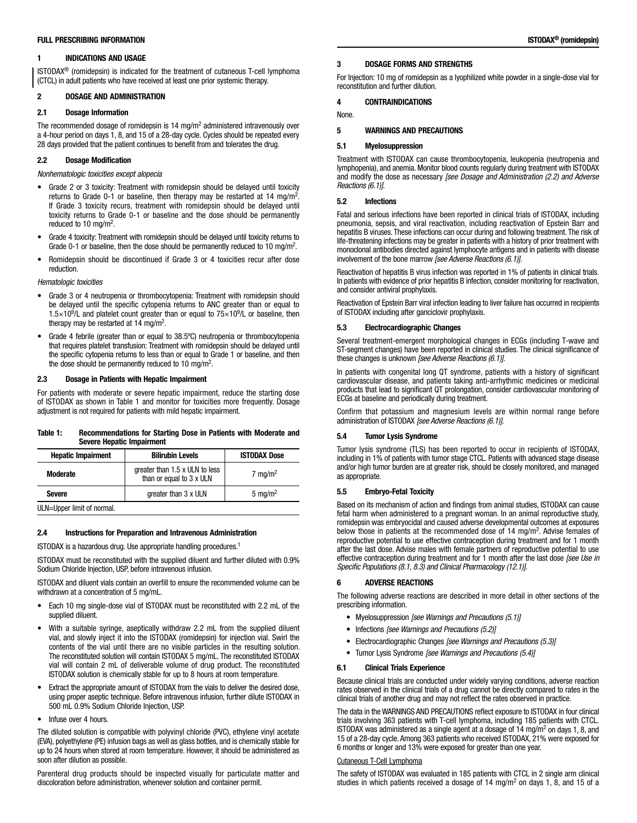#### ISTODAX® FULL PRESCRIBING INFORMATION (romidepsin)

## 1 INDICATIONS AND USAGE

 $ISTODAX<sup>®</sup>$  (romidepsin) is indicated for the treatment of cutaneous T-cell lymphoma (CTCL) in adult patients who have received at least one prior systemic therapy.

#### 2 DOSAGE AND ADMINISTRATION

#### 2.1 Dosage Information

The recommended dosage of romidepsin is  $14 \text{ mg/m}^2$  administered intravenously over a 4-hour period on days 1, 8, and 15 of a 28-day cycle. Cycles should be repeated every 28 days provided that the patient continues to benefit from and tolerates the drug.

#### 2.2 Dosage Modification

*Nonhematologic toxicities except alopecia*

- Grade 2 or 3 toxicity: Treatment with romidepsin should be delayed until toxicity returns to Grade 0-1 or baseline, then therapy may be restarted at 14 mg/m<sup>2</sup>. If Grade 3 toxicity recurs, treatment with romidepsin should be delayed until toxicity returns to Grade 0-1 or baseline and the dose should be permanently reduced to 10 mg/m<sup>2</sup>.
- Grade 4 toxicity: Treatment with romidepsin should be delayed until toxicity returns to Grade 0-1 or baseline, then the dose should be permanently reduced to 10 mg/m<sup>2</sup>.
- Romidepsin should be discontinued if Grade 3 or 4 toxicities recur after dose reduction.

*Hematologic toxicities*

- Grade 3 or 4 neutropenia or thrombocytopenia: Treatment with romidepsin should be delayed until the specific cytopenia returns to ANC greater than or equal to  $1.5\times10^6$ /L and platelet count greater than or equal to  $75\times10^9$ /L or baseline, then therapy may be restarted at 14 mg/m<sup>2</sup>.
- Grade 4 febrile (greater than or equal to 38.5ºC) neutropenia or thrombocytopenia that requires platelet transfusion: Treatment with romidepsin should be delayed until the specific cytopenia returns to less than or equal to Grade 1 or baseline, and then the dose should be permanently reduced to 10 mg/m<sup>2</sup>.

### 2.3 Dosage in Patients with Hepatic Impairment

For patients with moderate or severe hepatic impairment, reduce the starting dose of ISTODAX as shown in Table 1 and monitor for toxicities more frequently. Dosage adjustment is not required for patients with mild hepatic impairment.

#### Table 1: Recommendations for Starting Dose in Patients with Moderate and Severe Hepatic Impairment

| greater than 1.5 x ULN to less<br>Moderate                   |                    |
|--------------------------------------------------------------|--------------------|
| than or equal to 3 x ULN                                     | $7 \text{ ma/m}^2$ |
| 5 mg/m <sup>2</sup><br>greater than 3 x ULN<br><b>Severe</b> |                    |

ULN=Upper limit of normal.

### 2.4 Instructions for Preparation and Intravenous Administration

ISTODAX is a hazardous drug. Use appropriate handling procedures.1

ISTODAX must be reconstituted with the supplied diluent and further diluted with 0.9% Sodium Chloride Injection, USP, before intravenous infusion.

ISTODAX and diluent vials contain an overfill to ensure the recommended volume can be withdrawn at a concentration of 5 mg/mL.

- Each 10 mg single-dose vial of ISTODAX must be reconstituted with 2.2 mL of the supplied diluent.
- With a suitable syringe, aseptically withdraw 2.2 mL from the supplied diluent vial, and slowly inject it into the ISTODAX (romidepsin) for injection vial. Swirl the contents of the vial until there are no visible particles in the resulting solution. The reconstituted solution will contain ISTODAX 5 mg/mL. The reconstituted ISTODAX vial will contain 2 mL of deliverable volume of drug product. The reconstituted ISTODAX solution is chemically stable for up to 8 hours at room temperature.
- Extract the appropriate amount of ISTODAX from the vials to deliver the desired dose, using proper aseptic technique. Before intravenous infusion, further dilute ISTODAX in 500 mL 0.9% Sodium Chloride Injection, USP.
- Infuse over 4 hours.

The diluted solution is compatible with polyvinyl chloride (PVC), ethylene vinyl acetate (EVA), polyethylene (PE) infusion bags as well as glass bottles, and is chemically stable for up to 24 hours when stored at room temperature. However, it should be administered as soon after dilution as possible.

Parenteral drug products should be inspected visually for particulate matter and discoloration before administration, whenever solution and container permit.

## 3 DOSAGE FORMS AND STRENGTHS

For Injection: 10 mg of romidepsin as a lyophilized white powder in a single-dose vial for reconstitution and further dilution.

### 4 CONTRAINDICATIONS

None.

#### 5 WARNINGS AND PRECAUTIONS

#### 5.1 Myelosuppression

Treatment with ISTODAX can cause thrombocytopenia, leukopenia (neutropenia and lymphopenia), and anemia. Monitor blood counts regularly during treatment with ISTODAX and modify the dose as necessary *[see Dosage and Administration (2.2) and Adverse Reactions (6.1)]*.

#### 5.2 Infections

Fatal and serious infections have been reported in clinical trials of ISTODAX, including pneumonia, sepsis, and viral reactivation, including reactivation of Epstein Barr and hepatitis B viruses. These infections can occur during and following treatment. The risk of life-threatening infections may be greater in patients with a history of prior treatment with monoclonal antibodies directed against lymphocyte antigens and in patients with disease involvement of the bone marrow *[see Adverse Reactions (6.1)]*.

Reactivation of hepatitis B virus infection was reported in 1% of patients in clinical trials. In patients with evidence of prior hepatitis B infection, consider monitoring for reactivation, and consider antiviral prophylaxis.

Reactivation of Epstein Barr viral infection leading to liver failure has occurred in recipients of ISTODAX including after ganciclovir prophylaxis.

### 5.3 Electrocardiographic Changes

Several treatment-emergent morphological changes in ECGs (including T-wave and ST-segment changes) have been reported in clinical studies. The clinical significance of these changes is unknown *[see Adverse Reactions (6.1)]*.

In patients with congenital long QT syndrome, patients with a history of significant cardiovascular disease, and patients taking anti-arrhythmic medicines or medicinal products that lead to significant QT prolongation, consider cardiovascular monitoring of ECGs at baseline and periodically during treatment.

Confirm that potassium and magnesium levels are within normal range before administration of ISTODAX *[see Adverse Reactions (6.1)]*.

## 5.4 Tumor Lysis Syndrome

Tumor lysis syndrome (TLS) has been reported to occur in recipients of ISTODAX, including in 1% of patients with tumor stage CTCL. Patients with advanced stage disease and/or high tumor burden are at greater risk, should be closely monitored, and managed as appropriate.

#### 5.5 Embryo-Fetal Toxicity

Based on its mechanism of action and findings from animal studies, ISTODAX can cause fetal harm when administered to a pregnant woman. In an animal reproductive study, romidepsin was embryocidal and caused adverse developmental outcomes at exposures below those in patients at the recommended dose of 14 mg/m<sup>2</sup>. Advise females of reproductive potential to use effective contraception during treatment and for 1 month after the last dose. Advise males with female partners of reproductive potential to use effective contraception during treatment and for 1 month after the last dose *[see Use in Specific Populations (8.1, 8.3) and Clinical Pharmacology (12.1)]*.

## 6 ADVERSE REACTIONS

The following adverse reactions are described in more detail in other sections of the prescribing information.

- Myelosuppression *[see Warnings and Precautions (5.1)]*
- Infections *[see Warnings and Precautions (5.2)]*
- Electrocardiographic Changes *[see Warnings and Precautions (5.3)]*
- Tumor Lysis Syndrome *[see Warnings and Precautions (5.4)]*

### 6.1 Clinical Trials Experience

Because clinical trials are conducted under widely varying conditions, adverse reaction rates observed in the clinical trials of a drug cannot be directly compared to rates in the clinical trials of another drug and may not reflect the rates observed in practice.

The data in the WARNINGS AND PRECAUTIONS reflect exposure to ISTODAX in four clinical trials involving 363 patients with T-cell lymphoma, including 185 patients with CTCL. ISTODAX was administered as a single agent at a dosage of  $14 \text{ mg/m}^2$  on days 1, 8, and 15 of a 28-day cycle. Among 363 patients who received ISTODAX, 21% were exposed for 6 months or longer and 13% were exposed for greater than one year.

## Cutaneous T-Cell Lymphoma

The safety of ISTODAX was evaluated in 185 patients with CTCL in 2 single arm clinical studies in which patients received a dosage of 14 mg/m2 on days 1, 8, and 15 of a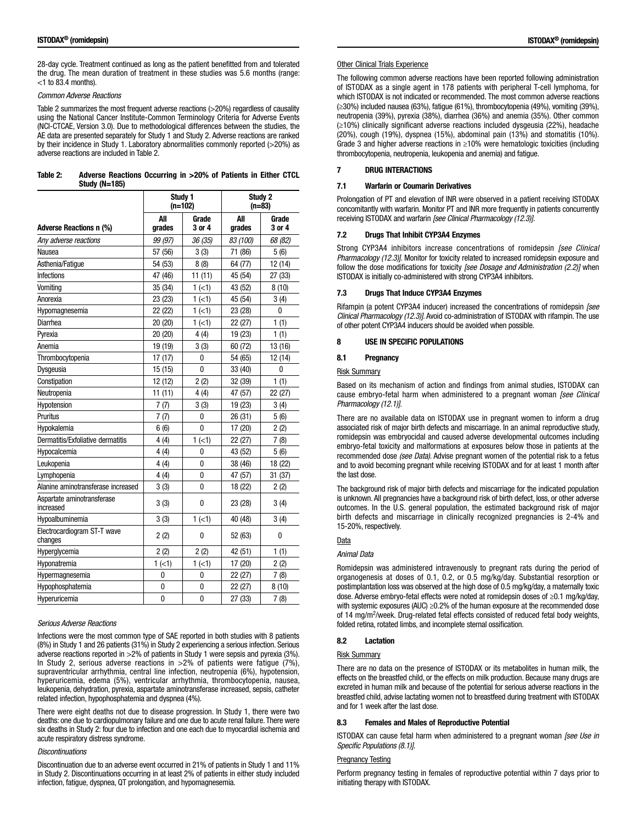28-day cycle. Treatment continued as long as the patient benefitted from and tolerated the drug. The mean duration of treatment in these studies was 5.6 months (range:  $<$ 1 to 83.4 months).

#### *Common Adverse Reactions*

Table 2 summarizes the most frequent adverse reactions (>20%) regardless of causality using the National Cancer Institute-Common Terminology Criteria for Adverse Events (NCI-CTCAE, Version 3.0). Due to methodological differences between the studies, the AE data are presented separately for Study 1 and Study 2. Adverse reactions are ranked by their incidence in Study 1. Laboratory abnormalities commonly reported (>20%) as adverse reactions are included in Table 2.

|                                         |               | Study 1<br>$(n=102)$ | Study 2<br>$(n=83)$ |                 |  |
|-----------------------------------------|---------------|----------------------|---------------------|-----------------|--|
| <b>Adverse Reactions n (%)</b>          | All<br>grades | Grade<br>3 or 4      | All<br>grades       | Grade<br>3 or 4 |  |
| Anv adverse reactions                   | 99 (97)       | 36 (35)              | 83 (100)            | 68 (82)         |  |
| Nausea                                  | 57 (56)       | 3(3)                 | 71 (86)             | 5(6)            |  |
| Asthenia/Fatique                        | 54 (53)       | 8(8)                 | 64 (77)             | 12 (14)         |  |
| Infections                              | 47 (46)       | 11(11)               | 45 (54)             | 27 (33)         |  |
| Vomitina                                | 35(34)        | 1(21)                | 43 (52)             | 8(10)           |  |
| Anorexia                                | 23(23)        | 1 (21)               | 45 (54)             | 3(4)            |  |
| Hypomagnesemia                          | 22 (22)       | 1(1)                 | 23 (28)             | 0               |  |
| Diarrhea                                | 20(20)        | 1 (21)               | 22 (27)             | 1(1)            |  |
| Pyrexia                                 | 20(20)        | 4(4)                 | 19 (23)             | 1(1)            |  |
| Anemia                                  | 19 (19)       | 3(3)                 | 60 (72)             | 13 (16)         |  |
| Thrombocytopenia                        | 17 (17)       | 0                    | 54 (65)             | 12 (14)         |  |
| Dysgeusia                               | 15 (15)       | 0                    | 33 (40)             | 0               |  |
| Constipation                            | 12 (12)       | 2(2)                 | 32 (39)             | 1(1)            |  |
| Neutropenia                             | 11 (11)       | 4(4)                 | 47 (57)             | 22 (27)         |  |
| Hypotension                             | 7(7)          | 3(3)                 | 19 (23)             | 3(4)            |  |
| Pruritus                                | 7(7)          | 0                    | 26 (31)             | 5(6)            |  |
| Hypokalemia                             | 6(6)          | 0                    | 17 (20)             | 2(2)            |  |
| Dermatitis/Exfoliative dermatitis       | 4(4)          | $1 (-1)$             | 22 (27)             | 7(8)            |  |
| Hypocalcemia                            | 4 (4)         | 0                    | 43 (52)             | 5(6)            |  |
| Leukopenia                              | 4(4)          | 0                    | 38 (46)             | 18 (22)         |  |
| Lymphopenia                             | 4(4)          | 0                    | 47 (57)             | 31 (37)         |  |
| Alanine aminotransferase increased      | 3(3)          | 0                    | 18 (22)             | 2(2)            |  |
| Aspartate aminotransferase<br>increased | 3(3)          | 0                    | 23 (28)             | 3(4)            |  |
| Hypoalbuminemia                         | 3(3)          | 1 (21)               | 40 (48)             | 3(4)            |  |
| Electrocardiogram ST-T wave<br>changes  | 2(2)          | 0                    | 52 (63)             | 0               |  |
| Hyperglycemia                           | 2(2)          | 2(2)                 | 42 (51)             | 1(1)            |  |
| Hyponatremia                            | 1(21)         | 1 (21)               | 17 (20)             | 2(2)            |  |
| Hypermagnesemia                         | 0             | 0                    | 22(27)              | 7(8)            |  |
| Hypophosphatemia                        | 0             | 0                    | 22 (27)             | 8(10)           |  |
| Hvperuricemia                           | $\mathbf{0}$  | $\mathbf{0}$         | 27 (33)             | 7(8)            |  |

| Table 2: | Adverse Reactions Occurring in >20% of Patients in Either CTCL |
|----------|----------------------------------------------------------------|
|          | <b>Study (N=185)</b>                                           |

### *Serious Adverse Reactions*

Infections were the most common type of SAE reported in both studies with 8 patients (8%) in Study 1 and 26 patients (31%) in Study 2 experiencing a serious infection. Serious adverse reactions reported in >2% of patients in Study 1 were sepsis and pyrexia (3%). In Study 2, serious adverse reactions in >2% of patients were fatigue (7%), supraventricular arrhythmia, central line infection, neutropenia (6%), hypotension, hyperuricemia, edema (5%), ventricular arrhythmia, thrombocytopenia, nausea, leukopenia, dehydration, pyrexia, aspartate aminotransferase increased, sepsis, catheter related infection, hypophosphatemia and dyspnea (4%).

There were eight deaths not due to disease progression. In Study 1, there were two deaths: one due to cardiopulmonary failure and one due to acute renal failure. There were six deaths in Study 2: four due to infection and one each due to myocardial ischemia and acute respiratory distress syndrome.

### *Discontinuations*

Discontinuation due to an adverse event occurred in 21% of patients in Study 1 and 11% in Study 2. Discontinuations occurring in at least 2% of patients in either study included infection, fatigue, dyspnea, QT prolongation, and hypomagnesemia.

## Other Clinical Trials Experience

The following common adverse reactions have been reported following administration of ISTODAX as a single agent in 178 patients with peripheral T-cell lymphoma, for which ISTODAX is not indicated or recommended. The most common adverse reactions (≥30%) included nausea (63%), fatigue (61%), thrombocytopenia (49%), vomiting (39%), neutropenia (39%), pyrexia (38%), diarrhea (36%) and anemia (35%). Other common (≥10%) clinically significant adverse reactions included dysgeusia (22%), headache (20%), cough (19%), dyspnea (15%), abdominal pain (13%) and stomatitis (10%). Grade 3 and higher adverse reactions in ≥10% were hematologic toxicities (including thrombocytopenia, neutropenia, leukopenia and anemia) and fatigue.

## 7 DRUG INTERACTIONS

### 7.1 Warfarin or Coumarin Derivatives

Prolongation of PT and elevation of INR were observed in a patient receiving ISTODAX concomitantly with warfarin. Monitor PT and INR more frequently in patients concurrently receiving ISTODAX and warfarin *[see Clinical Pharmacology (12.3)]*.

## 7.2 Drugs That Inhibit CYP3A4 Enzymes

Strong CYP3A4 inhibitors increase concentrations of romidepsin *[see Clinical Pharmacology (12.3)]*. Monitor for toxicity related to increased romidepsin exposure and follow the dose modifications for toxicity *[see Dosage and Administration (2.2)]* when ISTODAX is initially co-administered with strong CYP3A4 inhibitors.

## 7.3 Drugs That Induce CYP3A4 Enzymes

Rifampin (a potent CYP3A4 inducer) increased the concentrations of romidepsin *[see Clinical Pharmacology (12.3)]*. Avoid co-administration of ISTODAX with rifampin. The use of other potent CYP3A4 inducers should be avoided when possible.

# 8 USE IN SPECIFIC POPULATIONS

## 8.1 Pregnancy

## Risk Summary

Based on its mechanism of action and findings from animal studies, ISTODAX can cause embryo-fetal harm when administered to a pregnant woman *[see Clinical Pharmacology (12.1)]*.

There are no available data on ISTODAX use in pregnant women to inform a drug associated risk of major birth defects and miscarriage. In an animal reproductive study, romidepsin was embryocidal and caused adverse developmental outcomes including embryo-fetal toxicity and malformations at exposures below those in patients at the recommended dose *(see Data)*. Advise pregnant women of the potential risk to a fetus and to avoid becoming pregnant while receiving ISTODAX and for at least 1 month after the last dose.

The background risk of major birth defects and miscarriage for the indicated population is unknown. All pregnancies have a background risk of birth defect, loss, or other adverse outcomes. In the U.S. general population, the estimated background risk of major birth defects and miscarriage in clinically recognized pregnancies is 2-4% and 15-20%, respectively.

## Data

### *Animal Data*

Romidepsin was administered intravenously to pregnant rats during the period of organogenesis at doses of 0.1, 0.2, or 0.5 mg/kg/day. Substantial resorption or postimplantation loss was observed at the high dose of 0.5 mg/kg/day, a maternally toxic dose. Adverse embryo-fetal effects were noted at romidepsin doses of ≥0.1 mg/kg/day, with systemic exposures (AUC) ≥0.2% of the human exposure at the recommended dose of 14 mg/m<sup>2</sup>/week. Drug-related fetal effects consisted of reduced fetal body weights, folded retina, rotated limbs, and incomplete sternal ossification.

### 8.2 Lactation

### Risk Summary

There are no data on the presence of ISTODAX or its metabolites in human milk, the effects on the breastfed child, or the effects on milk production. Because many drugs are excreted in human milk and because of the potential for serious adverse reactions in the breastfed child, advise lactating women not to breastfeed during treatment with ISTODAX and for 1 week after the last dose.

### 8.3 Females and Males of Reproductive Potential

ISTODAX can cause fetal harm when administered to a pregnant woman *[see Use in Specific Populations (8.1)]*.

## **Pregnancy Testing**

Perform pregnancy testing in females of reproductive potential within 7 days prior to initiating therapy with ISTODAX.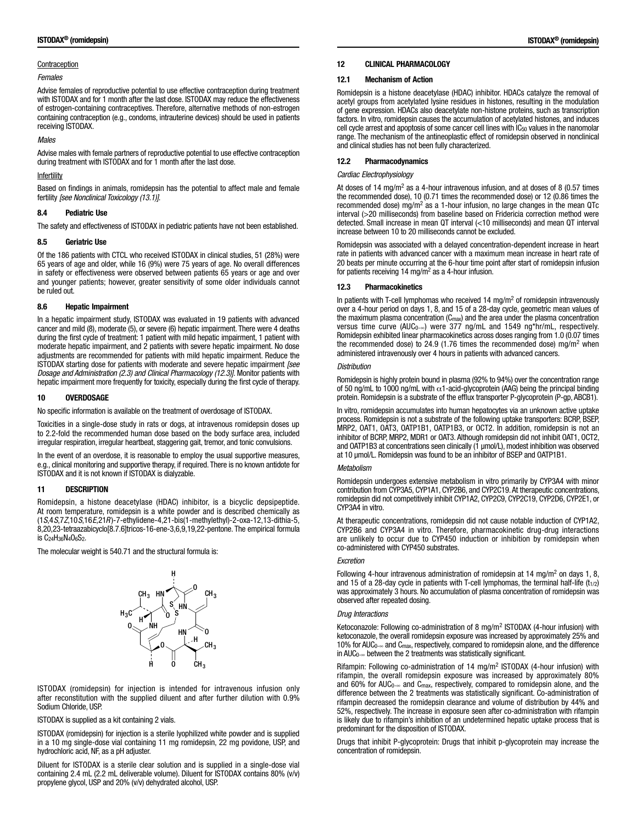#### **Contraception**

#### *Females*

Advise females of reproductive potential to use effective contraception during treatment with ISTODAX and for 1 month after the last dose. ISTODAX may reduce the effectiveness of estrogen-containing contraceptives. Therefore, alternative methods of non-estrogen containing contraception (e.g., condoms, intrauterine devices) should be used in patients receiving ISTODAX.

#### *Males*

Advise males with female partners of reproductive potential to use effective contraception during treatment with ISTODAX and for 1 month after the last dose.

#### Infertility

Based on findings in animals, romidepsin has the potential to affect male and female fertility *[see Nonclinical Toxicology (13.1)]*.

#### 8.4 Pediatric Use

The safety and effectiveness of ISTODAX in pediatric patients have not been established.

#### 8.5 Geriatric Use

Of the 186 patients with CTCL who received ISTODAX in clinical studies, 51 (28%) were 65 years of age and older, while 16 (9%) were 75 years of age. No overall differences in safety or effectiveness were observed between patients 65 years or age and over and younger patients; however, greater sensitivity of some older individuals cannot be ruled out.

#### 8.6 Hepatic Impairment

In a hepatic impairment study, ISTODAX was evaluated in 19 patients with advanced cancer and mild (8), moderate (5), or severe (6) hepatic impairment. There were 4 deaths during the first cycle of treatment: 1 patient with mild hepatic impairment, 1 patient with moderate hepatic impairment, and 2 patients with severe hepatic impairment. No dose adjustments are recommended for patients with mild hepatic impairment. Reduce the ISTODAX starting dose for patients with moderate and severe hepatic impairment *[see Dosage and Administration (2.3) and Clinical Pharmacology (12.3)]*. Monitor patients with hepatic impairment more frequently for toxicity, especially during the first cycle of therapy.

#### 10 OVERDOSAGE

No specific information is available on the treatment of overdosage of ISTODAX.

Toxicities in a single-dose study in rats or dogs, at intravenous romidepsin doses up to 2.2-fold the recommended human dose based on the body surface area, included irregular respiration, irregular heartbeat, staggering gait, tremor, and tonic convulsions.

In the event of an overdose, it is reasonable to employ the usual supportive measures, e.g., clinical monitoring and supportive therapy, if required. There is no known antidote for ISTODAX and it is not known if ISTODAX is dialyzable.

#### 11 DESCRIPTION

Romidepsin, a histone deacetylase (HDAC) inhibitor, is a bicyclic depsipeptide. At room temperature, romidepsin is a white powder and is described chemically as (1*S*,4*S*,7*Z*,10*S*,16*E*,21*R* )-7-ethylidene-4,21-bis(1-methylethyl)-2-oxa-12,13-dithia-5, 8,20,23-tetraazabicyclo[8.7.6]tricos-16-ene-3,6,9,19,22-pentone. The empirical formula is C24H36N4O6S2.

The molecular weight is 540.71 and the structural formula is:



ISTODAX (romidepsin) for injection is intended for intravenous infusion only after reconstitution with the supplied diluent and after further dilution with 0.9% Sodium Chloride, USP.

## ISTODAX is supplied as a kit containing 2 vials.

ISTODAX (romidepsin) for injection is a sterile lyophilized white powder and is supplied in a 10 mg single-dose vial containing 11 mg romidepsin, 22 mg povidone, USP, and hydrochloric acid, NF, as a pH adjuster.

Diluent for ISTODAX is a sterile clear solution and is supplied in a single-dose vial containing 2.4 mL (2.2 mL deliverable volume). Diluent for ISTODAX contains 80% (v/v) propylene glycol, USP and 20% (v/v) dehydrated alcohol, USP.

## 12 CLINICAL PHARMACOLOGY

#### 12.1 Mechanism of Action

Romidepsin is a histone deacetylase (HDAC) inhibitor. HDACs catalyze the removal of acetyl groups from acetylated lysine residues in histones, resulting in the modulation of gene expression. HDACs also deacetylate non-histone proteins, such as transcription factors. In vitro, romidepsin causes the accumulation of acetylated histones, and induces cell cycle arrest and apoptosis of some cancer cell lines with IC<sub>50</sub> values in the nanomolar range. The mechanism of the antineoplastic effect of romidepsin observed in nonclinical and clinical studies has not been fully characterized.

#### 12.2 Pharmacodynamics

#### *Cardiac Electrophysiology*

At doses of 14 mg/m<sup>2</sup> as a 4-hour intravenous infusion, and at doses of 8 (0.57 times the recommended dose), 10 (0.71 times the recommended dose) or 12 (0.86 times the recommended dose) mg/m<sup>2</sup> as a 1-hour infusion, no large changes in the mean QTc interval (>20 milliseconds) from baseline based on Fridericia correction method were detected. Small increase in mean QT interval (<10 milliseconds) and mean QT interval increase between 10 to 20 milliseconds cannot be excluded.

Romidepsin was associated with a delayed concentration-dependent increase in heart rate in patients with advanced cancer with a maximum mean increase in heart rate of 20 beats per minute occurring at the 6-hour time point after start of romidepsin infusion for patients receiving 14 mg/ $\overline{m}^2$  as a 4-hour infusion.

#### 12.3 Pharmacokinetics

In patients with T-cell lymphomas who received  $14 \text{ mg/m}^2$  of romidepsin intravenously over a 4-hour period on days 1, 8, and 15 of a 28-day cycle, geometric mean values of the maximum plasma concentration (Cmax) and the area under the plasma concentration versus time curve (AUC<sub>0-∞</sub>) were 377 ng/mL and 1549 ng\*hr/mL, respectively. Romidepsin exhibited linear pharmacokinetics across doses ranging from 1.0 (0.07 times the recommended dose) to 24.9 (1.76 times the recommended dose) mg/m<sup>2</sup> when administered intravenously over 4 hours in patients with advanced cancers.

#### *Distribution*

Romidepsin is highly protein bound in plasma (92% to 94%) over the concentration range of 50 ng/mL to 1000 ng/mL with  $\alpha$ 1-acid-glycoprotein (AAG) being the principal binding protein. Romidepsin is a substrate of the efflux transporter P-glycoprotein (P-gp, ABCB1).

In vitro, romidepsin accumulates into human hepatocytes via an unknown active uptake process. Romidepsin is not a substrate of the following uptake transporters: BCRP, BSEP, MRP2, OAT1, OAT3, OATP1B1, OATP1B3, or OCT2. In addition, romidepsin is not an inhibitor of BCRP, MRP2, MDR1 or OAT3. Although romidepsin did not inhibit OAT1, OCT2, and OATP1B3 at concentrations seen clinically (1 μmol/L), modest inhibition was observed at 10 μmol/L. Romidepsin was found to be an inhibitor of BSEP and OATP1B1.

#### *Metabolism*

Romidepsin undergoes extensive metabolism in vitro primarily by CYP3A4 with minor contribution from CYP3A5, CYP1A1, CYP2B6, and CYP2C19. At therapeutic concentrations, romidepsin did not competitively inhibit CYP1A2, CYP2C9, CYP2C19, CYP2D6, CYP2E1, or CYP3A4 in vitro.

At therapeutic concentrations, romidepsin did not cause notable induction of CYP1A2, CYP2B6 and CYP3A4 in vitro. Therefore, pharmacokinetic drug-drug interactions are unlikely to occur due to CYP450 induction or inhibition by romidepsin when co-administered with CYP450 substrates.

### *Excretion*

Following 4-hour intravenous administration of romidepsin at 14 mg/m<sup>2</sup> on days 1, 8, and 15 of a 28-day cycle in patients with T-cell lymphomas, the terminal half-life  $(t_{1/2})$ was approximately 3 hours. No accumulation of plasma concentration of romidepsin was observed after repeated dosing.

#### *Drug Interactions*

Ketoconazole: Following co-administration of 8 mg/m<sup>2</sup> ISTODAX (4-hour infusion) with ketoconazole, the overall romidepsin exposure was increased by approximately 25% and 10% for AUC0-∞ and Cmax, respectively, compared to romidepsin alone, and the difference in AUC0-∞ between the 2 treatments was statistically significant.

Rifampin: Following co-administration of 14 mg/m2 ISTODAX (4-hour infusion) with rifampin, the overall romidepsin exposure was increased by approximately 80% and 60% for AUC<sub>0</sub>-∞ and C<sub>max</sub>, respectively, compared to romidepsin alone, and the difference between the 2 treatments was statistically significant. Co-administration of rifampin decreased the romidepsin clearance and volume of distribution by 44% and 52%, respectively. The increase in exposure seen after co-administration with rifampin is likely due to rifampin's inhibition of an undetermined hepatic uptake process that is predominant for the disposition of ISTODAX.

Drugs that inhibit P-glycoprotein: Drugs that inhibit p-glycoprotein may increase the concentration of romidepsin.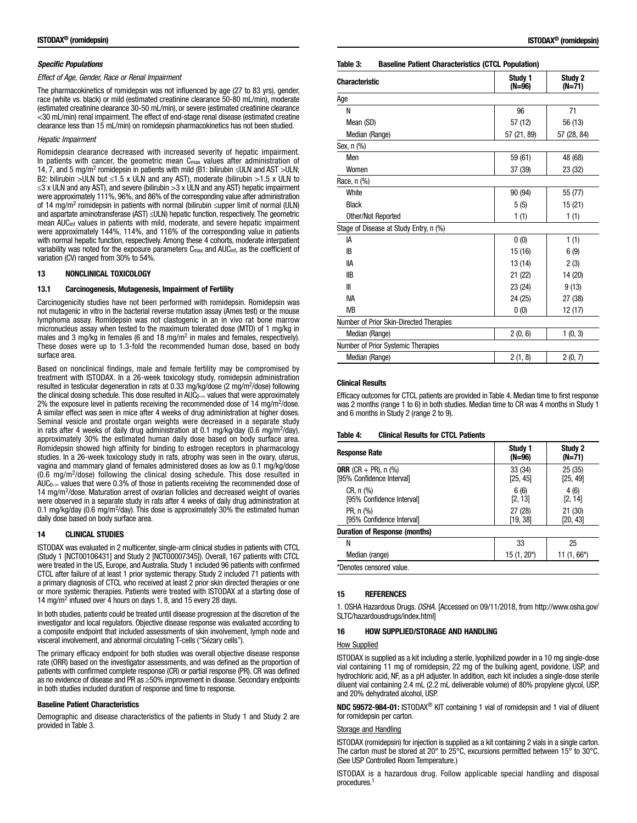### *Specific Populations*

#### *Effect of Age, Gender, Race or Renal Impairment*

The pharmacokinetics of romidepsin was not influenced by age (27 to 83 yrs), gender, race (white vs. black) or mild (estimated creatinine clearance 50-80 mL/min), moderate (estimated creatinine clearance 30-50 mL/min), or severe (estimated creatinine clearance <30 mL/min) renal impairment. The effect of end-stage renal disease (estimated creatine clearance less than 15 mL/min) on romidepsin pharmacokinetics has not been studied.

### *Hepatic Impairment*

Romidepsin clearance decreased with increased severity of hepatic impairment. In patients with cancer, the geometric mean Cmax values after administration of 14, 7, and 5 mg/m<sup>2</sup> romidepsin in patients with mild (B1: bilirubin  $\leq$ ULN and AST  $>$ ULN; B2: bilirubin >ULN but ≤1.5 x ULN and any AST), moderate (bilirubin >1.5 x ULN to ≤3 x ULN and any AST), and severe (bilirubin >3 x ULN and any AST) hepatic impairment were approximately 111%, 96%, and 86% of the corresponding value after administration of 14 mg/m<sup>2</sup> romidepsin in patients with normal (bilirubin  $\leq$ upper limit of normal (ULN) and aspartate aminotransferase (AST) ≤ULN) hepatic function, respectively. The geometric mean AUC<sub>inf</sub> values in patients with mild, moderate, and severe hepatic impairment were approximately 144%, 114%, and 116% of the corresponding value in patients with normal hepatic function, respectively. Among these 4 cohorts, moderate interpatient variability was noted for the exposure parameters  $C_{\text{max}}$  and  $AUC_{\text{inf}}$ , as the coefficient of variation (CV) ranged from 30% to 54%.

## 13 NONCLINICAL TOXICOLOGY

## 13.1 Carcinogenesis, Mutagenesis, Impairment of Fertility

Carcinogenicity studies have not been performed with romidepsin. Romidepsin was not mutagenic in vitro in the bacterial reverse mutation assay (Ames test) or the mouse lymphoma assay. Romidepsin was not clastogenic in an in vivo rat bone marrow micronucleus assay when tested to the maximum tolerated dose (MTD) of 1 mg/kg in males and 3 mg/kg in females (6 and 18 mg/m<sup>2</sup> in males and females, respectively). These doses were up to 1.3-fold the recommended human dose, based on body surface area.

Based on nonclinical findings, male and female fertility may be compromised by treatment with ISTODAX. In a 26-week toxicology study, romidepsin administration resulted in testicular degeneration in rats at 0.33 mg/kg/dose (2 mg/m<sup>2</sup>/dose) following the clinical dosing schedule. This dose resulted in  $AUC_0$ - $\infty$  values that were approximately 2% the exposure level in patients receiving the recommended dose of 14 mg/m<sup>2</sup>/dose. A similar effect was seen in mice after 4 weeks of drug administration at higher doses. Seminal vesicle and prostate organ weights were decreased in a separate study in rats after 4 weeks of daily drug administration at 0.1 mg/kg/day (0.6 mg/m<sup>2</sup>/day), approximately 30% the estimated human daily dose based on body surface area. Romidepsin showed high affinity for binding to estrogen receptors in pharmacology studies. In a 26-week toxicology study in rats, atrophy was seen in the ovary, uterus, vagina and mammary gland of females administered doses as low as 0.1 mg/kg/dose (0.6 mg/m2/dose) following the clinical dosing schedule. This dose resulted in AUC0-∞ values that were 0.3% of those in patients receiving the recommended dose of 14 mg/m<sup>2</sup>/dose. Maturation arrest of ovarian follicles and decreased weight of ovaries were observed in a separate study in rats after 4 weeks of daily drug administration at 0.1 mg/kg/day (0.6 mg/m<sup>2</sup>/day). This dose is approximately 30% the estimated human daily dose based on body surface area.

### 14 CLINICAL STUDIES

ISTODAX was evaluated in 2 multicenter, single-arm clinical studies in patients with CTCL (Study 1 [NCT00106431] and Study 2 [NCT00007345]). Overall, 167 patients with CTCL were treated in the US, Europe, and Australia. Study 1 included 96 patients with confirmed CTCL after failure of at least 1 prior systemic therapy. Study 2 included 71 patients with a primary diagnosis of CTCL who received at least 2 prior skin directed therapies or one or more systemic therapies. Patients were treated with ISTODAX at a starting dose of 14 mg/m2 infused over 4 hours on days 1, 8, and 15 every 28 days.

In both studies, patients could be treated until disease progression at the discretion of the investigator and local regulators. Objective disease response was evaluated according to a composite endpoint that included assessments of skin involvement, lymph node and visceral involvement, and abnormal circulating T-cells ("Sézary cells").

The primary efficacy endpoint for both studies was overall objective disease response rate (ORR) based on the investigator assessments, and was defined as the proportion of patients with confirmed complete response (CR) or partial response (PR). CR was defined as no evidence of disease and PR as ≥50% improvement in disease. Secondary endpoints in both studies included duration of response and time to response.

#### Baseline Patient Characteristics

Demographic and disease characteristics of the patients in Study 1 and Study 2 are provided in Table 3.

### Table 3: Baseline Patient Characteristics (CTCL Population)

| <b>Characteristic</b>                   | Study 1<br>(N=96) | Study 2<br>(N=71) |
|-----------------------------------------|-------------------|-------------------|
| Age                                     |                   |                   |
| N                                       | 96                | 71                |
| Mean (SD)                               | 57 (12)           | 56 (13)           |
| Median (Range)                          | 57 (21, 89)       | 57 (28, 84)       |
| Sex, n (%)                              |                   |                   |
| Men                                     | 59 (61)           | 48 (68)           |
| Women                                   | 37 (39)           | 23 (32)           |
| Race, n (%)                             |                   |                   |
| White                                   | 90 (94)           | 55 (77)           |
| <b>Black</b>                            | 5(5)              | 15 (21)           |
| Other/Not Reported                      | 1(1)              | 1(1)              |
| Stage of Disease at Study Entry, n (%)  |                   |                   |
| IA                                      | 0(0)              | 1(1)              |
| IB                                      | 15 (16)           | 6(9)              |
| <b>IIA</b>                              | 13 (14)           | 2(3)              |
| <b>IIB</b>                              | 21 (22)           | 14 (20)           |
| $\mathbf{III}$                          | 23 (24)           | 9(13)             |
| <b>IVA</b>                              | 24 (25)           | 27 (38)           |
| <b>IVB</b>                              | 0(0)              | 12 (17)           |
| Number of Prior Skin-Directed Therapies |                   |                   |
| Median (Range)                          | 2(0, 6)           | 1(0, 3)           |
| Number of Prior Systemic Therapies      |                   |                   |
| Median (Range)                          | 2(1, 8)           | 2(0, 7)           |

## Clinical Results

Efficacy outcomes for CTCL patients are provided in Table 4. Median time to first response was 2 months (range 1 to 6) in both studies. Median time to CR was 4 months in Study 1 and 6 months in Study 2 (range 2 to 9).

#### Table 4: Clinical Results for CTCL Patients

| <b>Response Rate</b>                                       | Study 1<br>(N=96)   | Study 2<br>(N=71)  |  |  |
|------------------------------------------------------------|---------------------|--------------------|--|--|
| <b>ORR</b> (CR + PR), $n$ (%)<br>[95% Confidence Interval] | 33 (34)<br>[25, 45] | 25(35)<br>[25, 49] |  |  |
| CR, n (%)<br>[95% Confidence Interval]                     | 6(6)<br>[2, 13]     | 4(6)<br>[2, 14]    |  |  |
| PR, n (%)<br>[95% Confidence Interval]                     | 27 (28)<br>[19, 38] | 21(30)<br>[20, 43] |  |  |
| Duration of Response (months)                              |                     |                    |  |  |
| N                                                          | 33                  | 25                 |  |  |
| Median (range)                                             | 15 (1, 20*)         | 11 (1, 66*)        |  |  |
| *Denotes censored value.                                   |                     |                    |  |  |

#### 15 REFERENCES

1. OSHA Hazardous Drugs. *OSHA*. [Accessed on 09/11/2018, from http://www.osha.gov/ SLTC/hazardousdrugs/index.html]

#### 16 HOW SUPPLIED/STORAGE AND HANDLING

## How Supplied

ISTODAX is supplied as a kit including a sterile, lyophilized powder in a 10 mg single-dose vial containing 11 mg of romidepsin, 22 mg of the bulking agent, povidone, USP, and hydrochloric acid, NF, as a pH adjuster. In addition, each kit includes a single-dose sterile diluent vial containing 2.4 mL (2.2 mL deliverable volume) of 80% propylene glycol, USP, and 20% dehydrated alcohol, USP.

NDC 59572-984-01: ISTODAX® KIT containing 1 vial of romidepsin and 1 vial of diluent for romidepsin per carton.

## Storage and Handling

ISTODAX (romidepsin) for injection is supplied as a kit containing 2 vials in a single carton. The carton must be stored at 20° to 25°C, excursions permitted between 15° to 30°C. (See USP Controlled Room Temperature.)

ISTODAX is a hazardous drug. Follow applicable special handling and disposal procedures.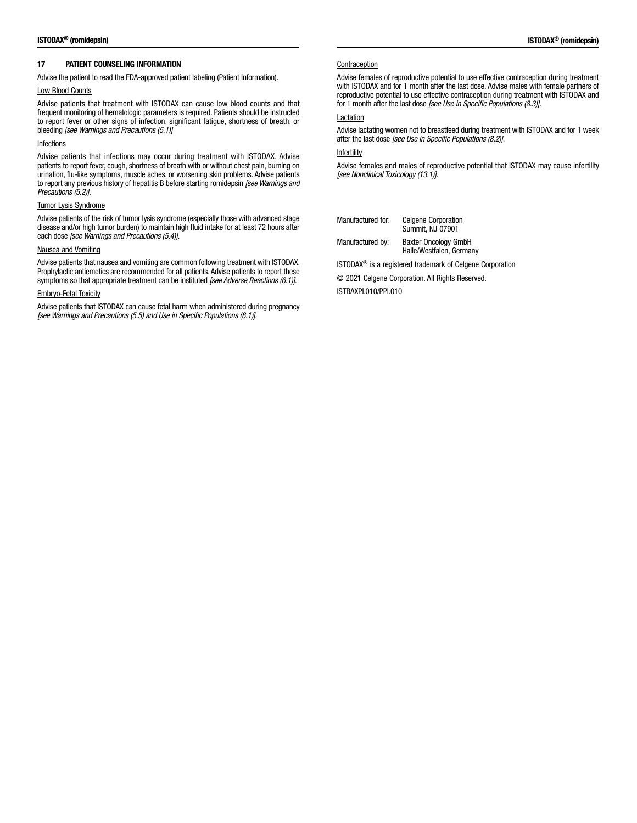## 17 PATIENT COUNSELING INFORMATION

Advise the patient to read the FDA-approved patient labeling (Patient Information).

## Low Blood Counts

Advise patients that treatment with ISTODAX can cause low blood counts and that frequent monitoring of hematologic parameters is required. Patients should be instructed to report fever or other signs of infection, significant fatigue, shortness of breath, or bleeding *[see Warnings and Precautions (5.1)]*

## Infections

Advise patients that infections may occur during treatment with ISTODAX. Advise patients to report fever, cough, shortness of breath with or without chest pain, burning on urination, flu-like symptoms, muscle aches, or worsening skin problems. Advise patients to report any previous history of hepatitis B before starting romidepsin *[see Warnings and Precautions (5.2)]*.

## Tumor Lysis Syndrome

Advise patients of the risk of tumor lysis syndrome (especially those with advanced stage disease and/or high tumor burden) to maintain high fluid intake for at least 72 hours after each dose *[see Warnings and Precautions (5.4)]*.

## Nausea and Vomiting

Advise patients that nausea and vomiting are common following treatment with ISTODAX. Prophylactic antiemetics are recommended for all patients. Advise patients to report these symptoms so that appropriate treatment can be instituted *[see Adverse Reactions (6.1)]*.

## Embryo-Fetal Toxicity

Advise patients that ISTODAX can cause fetal harm when administered during pregnancy *[see Warnings and Precautions (5.5) and Use in Specific Populations (8.1)]*.

#### **Contraception**

Advise females of reproductive potential to use effective contraception during treatment with ISTODAX and for 1 month after the last dose. Advise males with female partners of reproductive potential to use effective contraception during treatment with ISTODAX and for 1 month after the last dose *[see Use in Specific Populations (8.3)]*.

### Lactation

Advise lactating women not to breastfeed during treatment with ISTODAX and for 1 week after the last dose *[see Use in Specific Populations (8.2)]*.

## Infertility

Advise females and males of reproductive potential that ISTODAX may cause infertility *[see Nonclinical Toxicology (13.1)]*.

Manufactured for: Celgene Corporation Summit, NJ 07901

Manufactured by: Baxter Oncology GmbH Halle/Westfalen, Germany

ISTODAX® is a registered trademark of Celgene Corporation

© 2021 Celgene Corporation. All Rights Reserved.

ISTBAXPI.010/PPI.010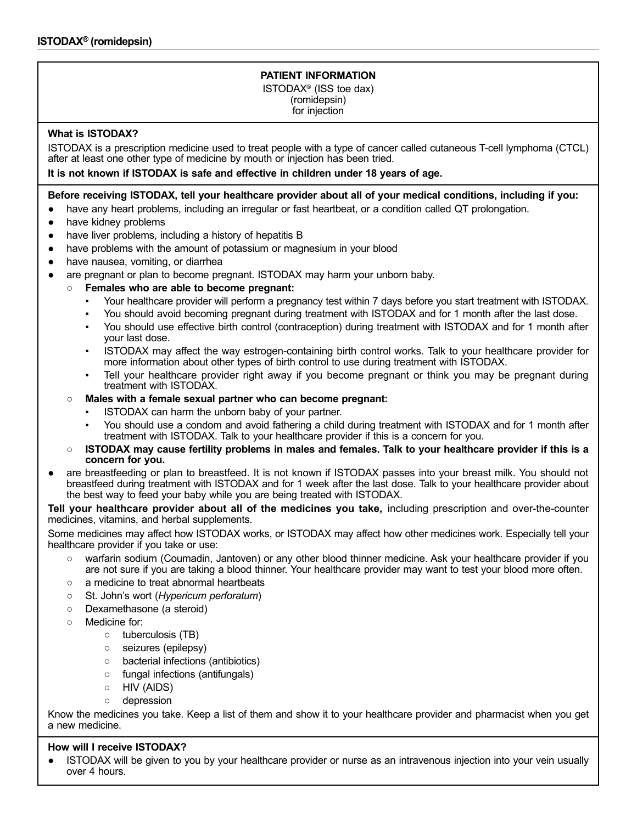# **PATIENT INFORMATION** ISTODAX® (ISS toe dax) (romidepsin) for injection

# **What is ISTODAX?**

ISTODAX is a prescription medicine used to treat people with a type of cancer called cutaneous T-cell lymphoma (CTCL) after at least one other type of medicine by mouth or injection has been tried.

# **It is not known if ISTODAX is safe and effective in children under 18 years of age.**

# **Before receiving ISTODAX, tell your healthcare provider about all of your medical conditions, including if you:**

- have any heart problems, including an irregular or fast heartbeat, or a condition called QT prolongation.
- have kidney problems
- have liver problems, including a history of hepatitis B
- have problems with the amount of potassium or magnesium in your blood
- have nausea, vomiting, or diarrhea
- are pregnant or plan to become pregnant. ISTODAX may harm your unborn baby.
	- **Females who are able to become pregnant:**
		- Your healthcare provider will perform a pregnancy test within 7 days before you start treatment with ISTODAX.
		- You should avoid becoming pregnant during treatment with ISTODAX and for 1 month after the last dose.
		- You should use effective birth control (contraception) during treatment with ISTODAX and for 1 month after your last dose.
		- ISTODAX may affect the way estrogen-containing birth control works. Talk to your healthcare provider for more information about other types of birth control to use during treatment with ISTODAX.
		- Tell your healthcare provider right away if you become pregnant or think you may be pregnant during treatment with ISTODAX.
	- **Males with a female sexual partner who can become pregnant:**
		- ISTODAX can harm the unborn baby of your partner.
		- You should use a condom and avoid fathering a child during treatment with ISTODAX and for 1 month after treatment with ISTODAX. Talk to your healthcare provider if this is a concern for you.
	- **ISTODAX** may cause fertility problems in males and females. Talk to your healthcare provider if this is a **concern for you.**
- are breastfeeding or plan to breastfeed. It is not known if ISTODAX passes into your breast milk. You should not breastfeed during treatment with ISTODAX and for 1 week after the last dose. Talk to your healthcare provider about the best way to feed your baby while you are being treated with ISTODAX.

**Tell your healthcare provider about all of the medicines you take,** including prescription and over-the-counter medicines, vitamins, and herbal supplements.

Some medicines may affect how ISTODAX works, or ISTODAX may affect how other medicines work. Especially tell your healthcare provider if you take or use:

- warfarin sodium (Coumadin, Jantoven) or any other blood thinner medicine. Ask your healthcare provider if you are not sure if you are taking a blood thinner. Your healthcare provider may want to test your blood more often.
- a medicine to treat abnormal heartbeats
- St. John's wort (*Hypericum perforatum*)
- Dexamethasone (a steroid)
- Medicine for:
	- tuberculosis (TB)
	- seizures (epilepsy)
	- bacterial infections (antibiotics)
	- fungal infections (antifungals)
	- HIV (AIDS)
	- depression

Know the medicines you take. Keep a list of them and show it to your healthcare provider and pharmacist when you get a new medicine.

# **How will I receive ISTODAX?**

ISTODAX will be given to you by your healthcare provider or nurse as an intravenous injection into your vein usually over 4 hours.